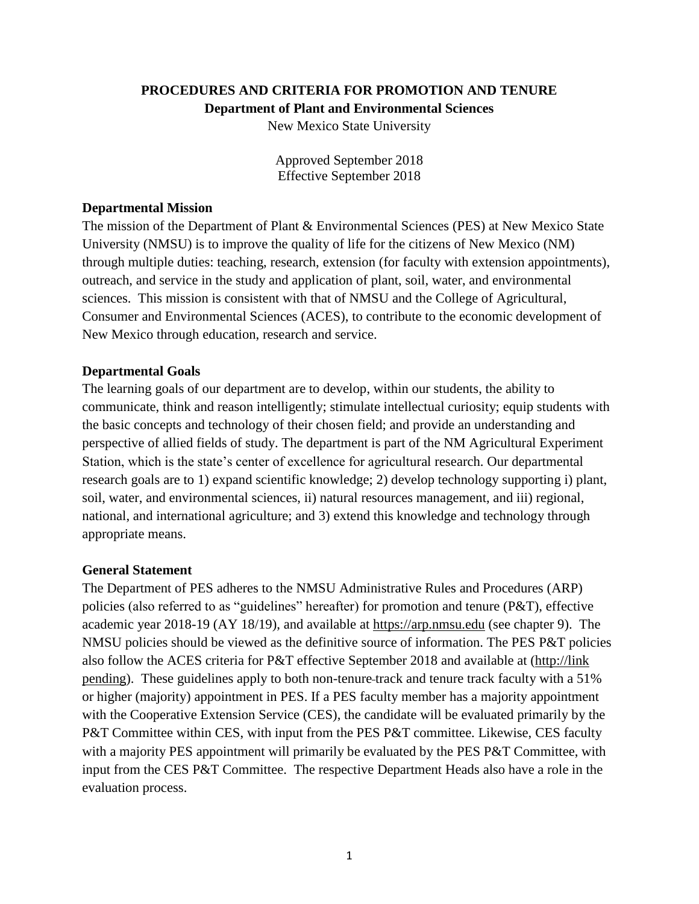#### **PROCEDURES AND CRITERIA FOR PROMOTION AND TENURE Department of Plant and Environmental Sciences**

New Mexico State University

Approved September 2018 Effective September 2018

#### **Departmental Mission**

The mission of the Department of Plant & Environmental Sciences (PES) at New Mexico State University (NMSU) is to improve the quality of life for the citizens of New Mexico (NM) through multiple duties: teaching, research, extension (for faculty with extension appointments), outreach, and service in the study and application of plant, soil, water, and environmental sciences. This mission is consistent with that of NMSU and the College of Agricultural, Consumer and Environmental Sciences (ACES), to contribute to the economic development of New Mexico through education, research and service.

#### **Departmental Goals**

The learning goals of our department are to develop, within our students, the ability to communicate, think and reason intelligently; stimulate intellectual curiosity; equip students with the basic concepts and technology of their chosen field; and provide an understanding and perspective of allied fields of study. The department is part of the NM Agricultural Experiment Station, which is the state's center of excellence for agricultural research. Our departmental research goals are to 1) expand scientific knowledge; 2) develop technology supporting i) plant, soil, water, and environmental sciences, ii) natural resources management, and iii) regional, national, and international agriculture; and 3) extend this knowledge and technology through appropriate means.

#### **General Statement**

The Department of PES adheres to the NMSU Administrative Rules and Procedures (ARP) policies (also referred to as "guidelines" hereafter) for promotion and tenure (P&T), effective academic year 2018-19 (AY 18/19), and available at [https://arp.nmsu.edu](https://arp.nmsu.edu/) (see chapter 9). The NMSU policies should be viewed as the definitive source of information. The PES P&T policies also follow the ACES criteria for P&T effective September 2018 and available at (http://link pending). These guidelines apply to both non-tenure track and tenure track faculty with a 51% or higher (majority) appointment in PES. If a PES faculty member has a majority appointment with the Cooperative Extension Service (CES), the candidate will be evaluated primarily by the P&T Committee within CES, with input from the PES P&T committee. Likewise, CES faculty with a majority PES appointment will primarily be evaluated by the PES P&T Committee, with input from the CES P&T Committee. The respective Department Heads also have a role in the evaluation process.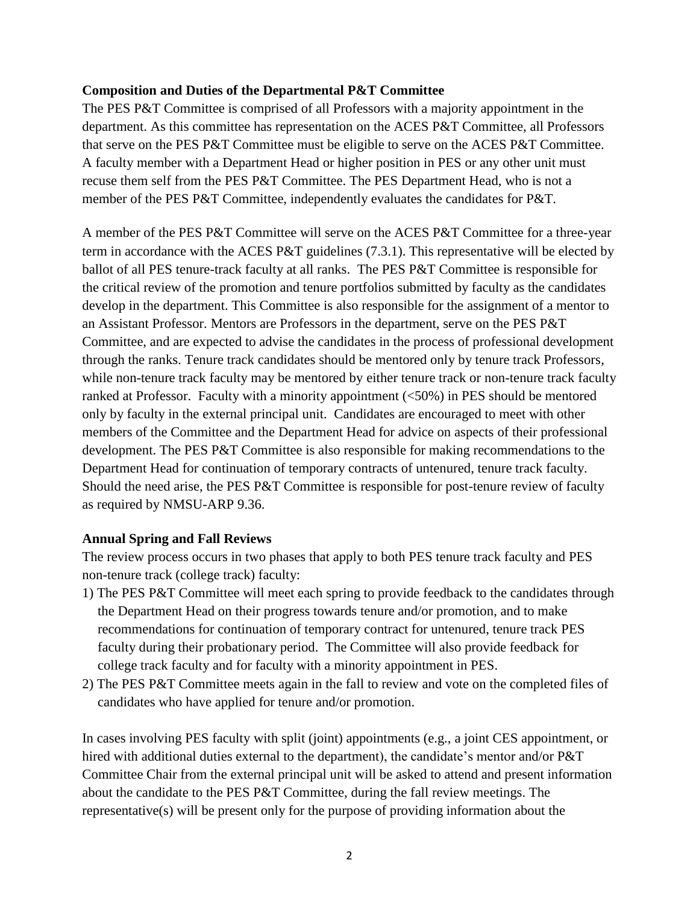#### **Composition and Duties of the Departmental P&T Committee**

The PES P&T Committee is comprised of all Professors with a majority appointment in the department. As this committee has representation on the ACES P&T Committee, all Professors that serve on the PES P&T Committee must be eligible to serve on the ACES P&T Committee. A faculty member with a Department Head or higher position in PES or any other unit must recuse them self from the PES P&T Committee. The PES Department Head, who is not a member of the PES P&T Committee, independently evaluates the candidates for P&T.

A member of the PES P&T Committee will serve on the ACES P&T Committee for a three-year term in accordance with the ACES P&T guidelines (7.3.1). This representative will be elected by ballot of all PES tenure-track faculty at all ranks. The PES P&T Committee is responsible for the critical review of the promotion and tenure portfolios submitted by faculty as the candidates develop in the department. This Committee is also responsible for the assignment of a mentor to an Assistant Professor. Mentors are Professors in the department, serve on the PES P&T Committee, and are expected to advise the candidates in the process of professional development through the ranks. Tenure track candidates should be mentored only by tenure track Professors, while non-tenure track faculty may be mentored by either tenure track or non-tenure track faculty ranked at Professor. Faculty with a minority appointment (<50%) in PES should be mentored only by faculty in the external principal unit. Candidates are encouraged to meet with other members of the Committee and the Department Head for advice on aspects of their professional development. The PES P&T Committee is also responsible for making recommendations to the Department Head for continuation of temporary contracts of untenured, tenure track faculty. Should the need arise, the PES P&T Committee is responsible for post-tenure review of faculty as required by NMSU-ARP 9.36.

## **Annual Spring and Fall Reviews**

The review process occurs in two phases that apply to both PES tenure track faculty and PES non-tenure track (college track) faculty:

- 1) The PES P&T Committee will meet each spring to provide feedback to the candidates through the Department Head on their progress towards tenure and/or promotion, and to make recommendations for continuation of temporary contract for untenured, tenure track PES faculty during their probationary period. The Committee will also provide feedback for college track faculty and for faculty with a minority appointment in PES.
- 2) The PES P&T Committee meets again in the fall to review and vote on the completed files of candidates who have applied for tenure and/or promotion.

In cases involving PES faculty with split (joint) appointments (e.g., a joint CES appointment, or hired with additional duties external to the department), the candidate's mentor and/or P&T Committee Chair from the external principal unit will be asked to attend and present information about the candidate to the PES P&T Committee, during the fall review meetings. The representative(s) will be present only for the purpose of providing information about the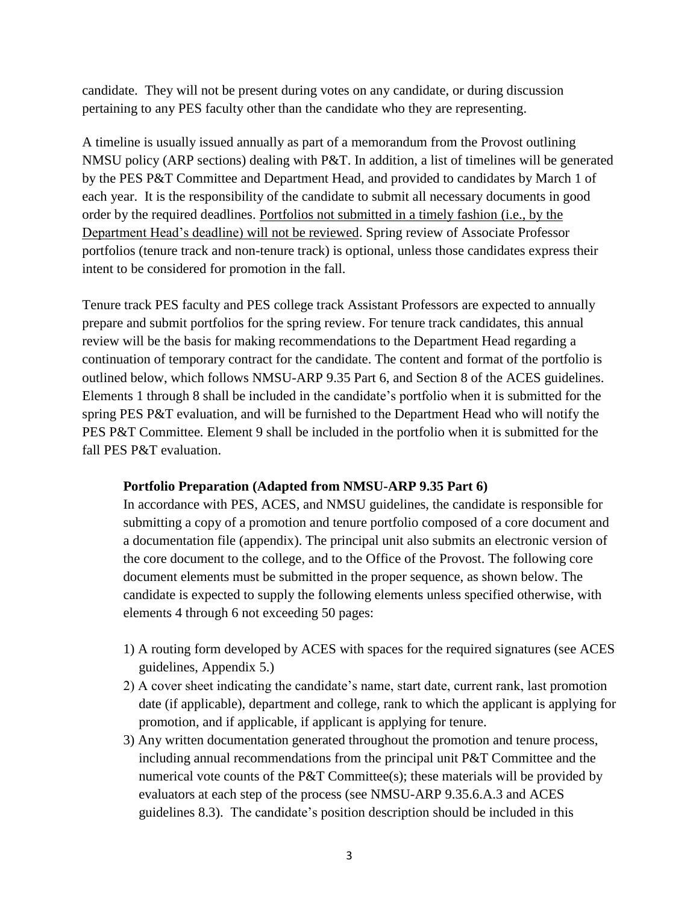candidate. They will not be present during votes on any candidate, or during discussion pertaining to any PES faculty other than the candidate who they are representing.

A timeline is usually issued annually as part of a memorandum from the Provost outlining NMSU policy (ARP sections) dealing with P&T. In addition, a list of timelines will be generated by the PES P&T Committee and Department Head, and provided to candidates by March 1 of each year. It is the responsibility of the candidate to submit all necessary documents in good order by the required deadlines. Portfolios not submitted in a timely fashion (i.e., by the Department Head's deadline) will not be reviewed. Spring review of Associate Professor portfolios (tenure track and non-tenure track) is optional, unless those candidates express their intent to be considered for promotion in the fall.

Tenure track PES faculty and PES college track Assistant Professors are expected to annually prepare and submit portfolios for the spring review. For tenure track candidates, this annual review will be the basis for making recommendations to the Department Head regarding a continuation of temporary contract for the candidate. The content and format of the portfolio is outlined below, which follows NMSU-ARP 9.35 Part 6, and Section 8 of the ACES guidelines. Elements 1 through 8 shall be included in the candidate's portfolio when it is submitted for the spring PES P&T evaluation, and will be furnished to the Department Head who will notify the PES P&T Committee. Element 9 shall be included in the portfolio when it is submitted for the fall PES P&T evaluation.

## **Portfolio Preparation (Adapted from NMSU-ARP 9.35 Part 6)**

In accordance with PES, ACES, and NMSU guidelines, the candidate is responsible for submitting a copy of a promotion and tenure portfolio composed of a core document and a documentation file (appendix). The principal unit also submits an electronic version of the core document to the college, and to the Office of the Provost. The following core document elements must be submitted in the proper sequence, as shown below. The candidate is expected to supply the following elements unless specified otherwise, with elements 4 through 6 not exceeding 50 pages:

- 1) A routing form developed by ACES with spaces for the required signatures (see ACES guidelines, Appendix 5.)
- 2) A cover sheet indicating the candidate's name, start date, current rank, last promotion date (if applicable), department and college, rank to which the applicant is applying for promotion, and if applicable, if applicant is applying for tenure.
- 3) Any written documentation generated throughout the promotion and tenure process, including annual recommendations from the principal unit P&T Committee and the numerical vote counts of the P&T Committee(s); these materials will be provided by evaluators at each step of the process (see NMSU-ARP 9.35.6.A.3 and ACES guidelines 8.3). The candidate's position description should be included in this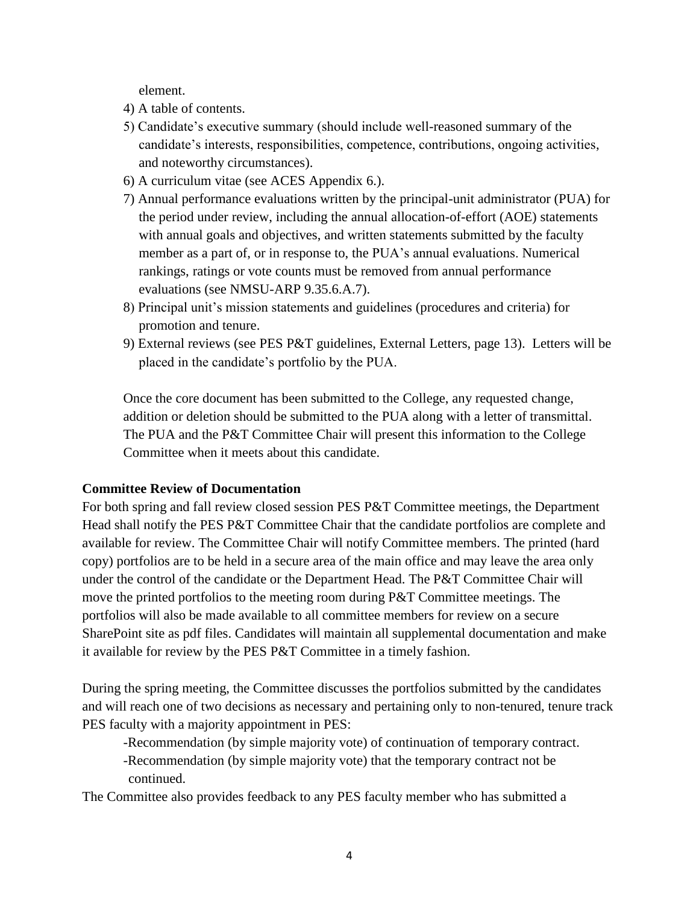element.

- 4) A table of contents.
- 5) Candidate's executive summary (should include well-reasoned summary of the candidate's interests, responsibilities, competence, contributions, ongoing activities, and noteworthy circumstances).
- 6) A curriculum vitae (see ACES Appendix 6.).
- 7) Annual performance evaluations written by the principal-unit administrator (PUA) for the period under review, including the annual allocation-of-effort (AOE) statements with annual goals and objectives, and written statements submitted by the faculty member as a part of, or in response to, the PUA's annual evaluations. Numerical rankings, ratings or vote counts must be removed from annual performance evaluations (see NMSU-ARP 9.35.6.A.7).
- 8) Principal unit's mission statements and guidelines (procedures and criteria) for promotion and tenure.
- 9) External reviews (see PES P&T guidelines, External Letters, page 13). Letters will be placed in the candidate's portfolio by the PUA.

Once the core document has been submitted to the College, any requested change, addition or deletion should be submitted to the PUA along with a letter of transmittal. The PUA and the P&T Committee Chair will present this information to the College Committee when it meets about this candidate.

#### **Committee Review of Documentation**

For both spring and fall review closed session PES P&T Committee meetings, the Department Head shall notify the PES P&T Committee Chair that the candidate portfolios are complete and available for review. The Committee Chair will notify Committee members. The printed (hard copy) portfolios are to be held in a secure area of the main office and may leave the area only under the control of the candidate or the Department Head. The P&T Committee Chair will move the printed portfolios to the meeting room during P&T Committee meetings. The portfolios will also be made available to all committee members for review on a secure SharePoint site as pdf files. Candidates will maintain all supplemental documentation and make it available for review by the PES P&T Committee in a timely fashion.

During the spring meeting, the Committee discusses the portfolios submitted by the candidates and will reach one of two decisions as necessary and pertaining only to non-tenured, tenure track PES faculty with a majority appointment in PES:

-Recommendation (by simple majority vote) of continuation of temporary contract. -Recommendation (by simple majority vote) that the temporary contract not be continued.

The Committee also provides feedback to any PES faculty member who has submitted a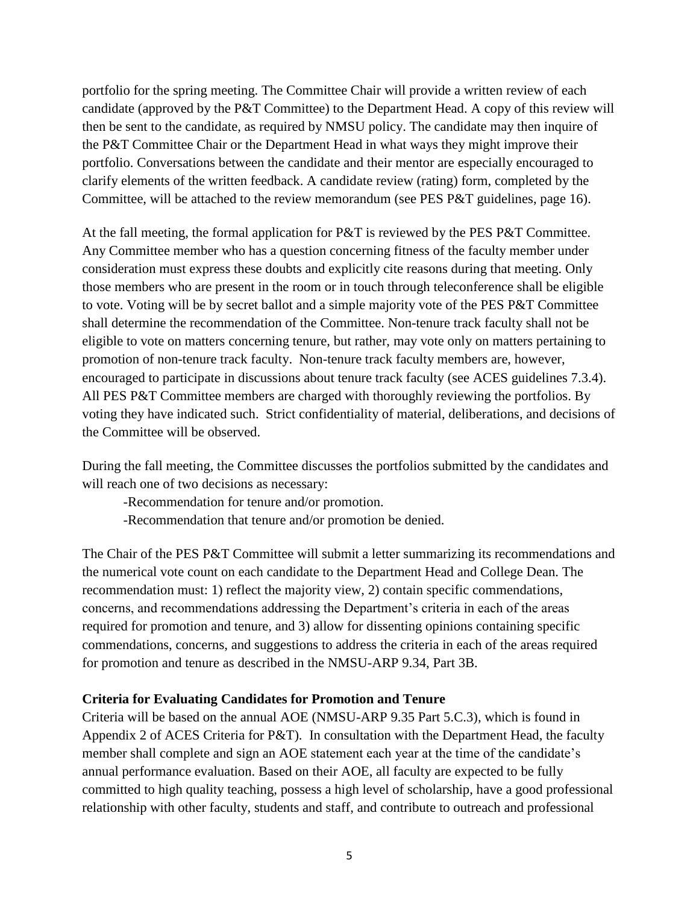portfolio for the spring meeting. The Committee Chair will provide a written review of each candidate (approved by the P&T Committee) to the Department Head. A copy of this review will then be sent to the candidate, as required by NMSU policy. The candidate may then inquire of the P&T Committee Chair or the Department Head in what ways they might improve their portfolio. Conversations between the candidate and their mentor are especially encouraged to clarify elements of the written feedback. A candidate review (rating) form, completed by the Committee, will be attached to the review memorandum (see PES P&T guidelines, page 16).

At the fall meeting, the formal application for P&T is reviewed by the PES P&T Committee. Any Committee member who has a question concerning fitness of the faculty member under consideration must express these doubts and explicitly cite reasons during that meeting. Only those members who are present in the room or in touch through teleconference shall be eligible to vote. Voting will be by secret ballot and a simple majority vote of the PES P&T Committee shall determine the recommendation of the Committee. Non-tenure track faculty shall not be eligible to vote on matters concerning tenure, but rather, may vote only on matters pertaining to promotion of non-tenure track faculty. Non-tenure track faculty members are, however, encouraged to participate in discussions about tenure track faculty (see ACES guidelines 7.3.4). All PES P&T Committee members are charged with thoroughly reviewing the portfolios. By voting they have indicated such. Strict confidentiality of material, deliberations, and decisions of the Committee will be observed.

During the fall meeting, the Committee discusses the portfolios submitted by the candidates and will reach one of two decisions as necessary:

-Recommendation for tenure and/or promotion.

-Recommendation that tenure and/or promotion be denied.

The Chair of the PES P&T Committee will submit a letter summarizing its recommendations and the numerical vote count on each candidate to the Department Head and College Dean. The recommendation must: 1) reflect the majority view, 2) contain specific commendations, concerns, and recommendations addressing the Department's criteria in each of the areas required for promotion and tenure, and 3) allow for dissenting opinions containing specific commendations, concerns, and suggestions to address the criteria in each of the areas required for promotion and tenure as described in the NMSU-ARP 9.34, Part 3B.

## **Criteria for Evaluating Candidates for Promotion and Tenure**

Criteria will be based on the annual AOE (NMSU-ARP 9.35 Part 5.C.3), which is found in Appendix 2 of ACES Criteria for P&T). In consultation with the Department Head, the faculty member shall complete and sign an AOE statement each year at the time of the candidate's annual performance evaluation. Based on their AOE, all faculty are expected to be fully committed to high quality teaching, possess a high level of scholarship, have a good professional relationship with other faculty, students and staff, and contribute to outreach and professional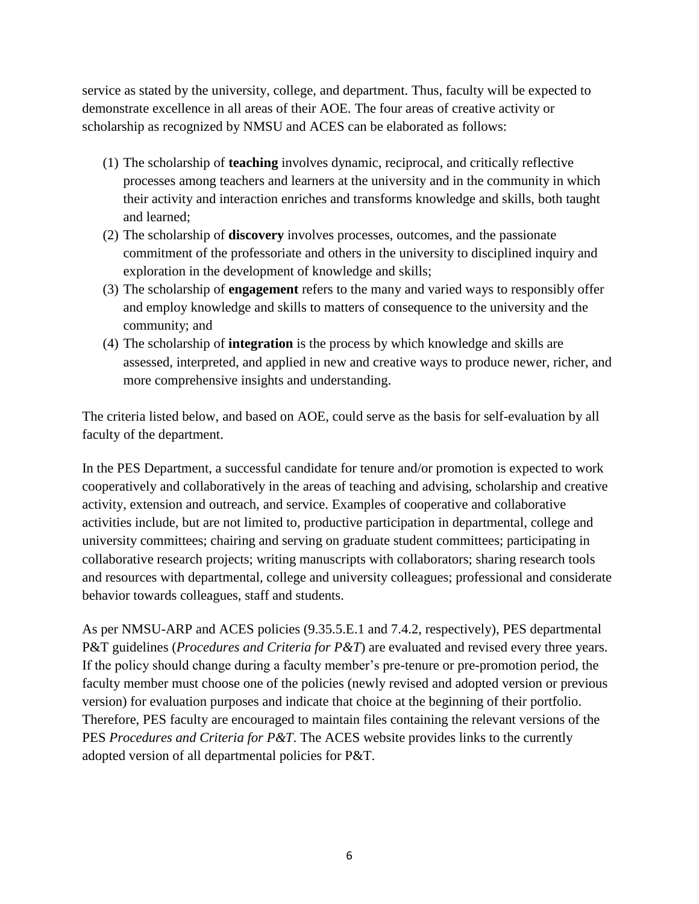service as stated by the university, college, and department. Thus, faculty will be expected to demonstrate excellence in all areas of their AOE. The four areas of creative activity or scholarship as recognized by NMSU and ACES can be elaborated as follows:

- (1) The scholarship of **teaching** involves dynamic, reciprocal, and critically reflective processes among teachers and learners at the university and in the community in which their activity and interaction enriches and transforms knowledge and skills, both taught and learned;
- (2) The scholarship of **discovery** involves processes, outcomes, and the passionate commitment of the professoriate and others in the university to disciplined inquiry and exploration in the development of knowledge and skills;
- (3) The scholarship of **engagement** refers to the many and varied ways to responsibly offer and employ knowledge and skills to matters of consequence to the university and the community; and
- (4) The scholarship of **integration** is the process by which knowledge and skills are assessed, interpreted, and applied in new and creative ways to produce newer, richer, and more comprehensive insights and understanding.

The criteria listed below, and based on AOE, could serve as the basis for self-evaluation by all faculty of the department.

In the PES Department, a successful candidate for tenure and/or promotion is expected to work cooperatively and collaboratively in the areas of teaching and advising, scholarship and creative activity, extension and outreach, and service. Examples of cooperative and collaborative activities include, but are not limited to, productive participation in departmental, college and university committees; chairing and serving on graduate student committees; participating in collaborative research projects; writing manuscripts with collaborators; sharing research tools and resources with departmental, college and university colleagues; professional and considerate behavior towards colleagues, staff and students.

As per NMSU-ARP and ACES policies (9.35.5.E.1 and 7.4.2, respectively), PES departmental P&T guidelines (*Procedures and Criteria for P&T*) are evaluated and revised every three years. If the policy should change during a faculty member's pre-tenure or pre-promotion period, the faculty member must choose one of the policies (newly revised and adopted version or previous version) for evaluation purposes and indicate that choice at the beginning of their portfolio. Therefore, PES faculty are encouraged to maintain files containing the relevant versions of the PES *Procedures and Criteria for P&T*. The ACES website provides links to the currently adopted version of all departmental policies for P&T.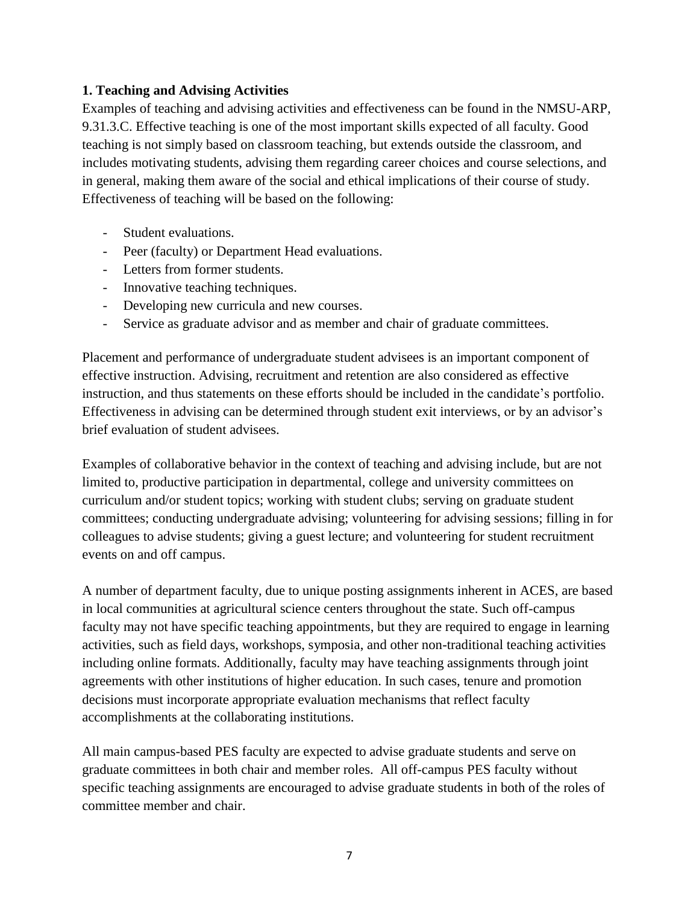### **1. Teaching and Advising Activities**

Examples of teaching and advising activities and effectiveness can be found in the NMSU-ARP, 9.31.3.C. Effective teaching is one of the most important skills expected of all faculty. Good teaching is not simply based on classroom teaching, but extends outside the classroom, and includes motivating students, advising them regarding career choices and course selections, and in general, making them aware of the social and ethical implications of their course of study. Effectiveness of teaching will be based on the following:

- Student evaluations.
- Peer (faculty) or Department Head evaluations.
- Letters from former students.
- Innovative teaching techniques.
- Developing new curricula and new courses.
- Service as graduate advisor and as member and chair of graduate committees.

Placement and performance of undergraduate student advisees is an important component of effective instruction. Advising, recruitment and retention are also considered as effective instruction, and thus statements on these efforts should be included in the candidate's portfolio. Effectiveness in advising can be determined through student exit interviews, or by an advisor's brief evaluation of student advisees.

Examples of collaborative behavior in the context of teaching and advising include, but are not limited to, productive participation in departmental, college and university committees on curriculum and/or student topics; working with student clubs; serving on graduate student committees; conducting undergraduate advising; volunteering for advising sessions; filling in for colleagues to advise students; giving a guest lecture; and volunteering for student recruitment events on and off campus.

A number of department faculty, due to unique posting assignments inherent in ACES, are based in local communities at agricultural science centers throughout the state. Such off-campus faculty may not have specific teaching appointments, but they are required to engage in learning activities, such as field days, workshops, symposia, and other non-traditional teaching activities including online formats. Additionally, faculty may have teaching assignments through joint agreements with other institutions of higher education. In such cases, tenure and promotion decisions must incorporate appropriate evaluation mechanisms that reflect faculty accomplishments at the collaborating institutions.

All main campus-based PES faculty are expected to advise graduate students and serve on graduate committees in both chair and member roles. All off-campus PES faculty without specific teaching assignments are encouraged to advise graduate students in both of the roles of committee member and chair.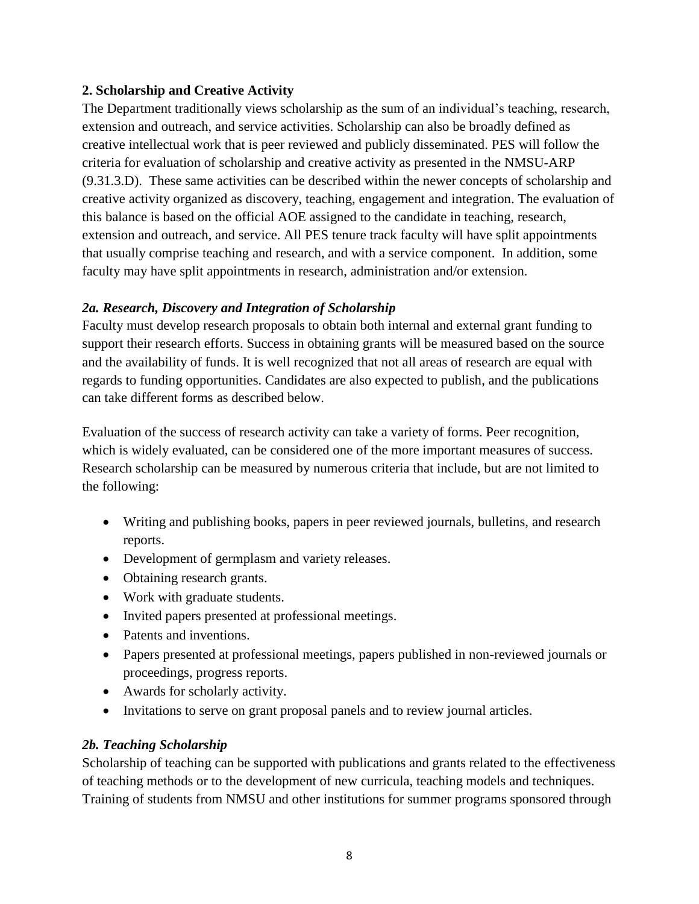## **2. Scholarship and Creative Activity**

The Department traditionally views scholarship as the sum of an individual's teaching, research, extension and outreach, and service activities. Scholarship can also be broadly defined as creative intellectual work that is peer reviewed and publicly disseminated. PES will follow the criteria for evaluation of scholarship and creative activity as presented in the NMSU-ARP (9.31.3.D). These same activities can be described within the newer concepts of scholarship and creative activity organized as discovery, teaching, engagement and integration. The evaluation of this balance is based on the official AOE assigned to the candidate in teaching, research, extension and outreach, and service. All PES tenure track faculty will have split appointments that usually comprise teaching and research, and with a service component. In addition, some faculty may have split appointments in research, administration and/or extension.

## *2a. Research, Discovery and Integration of Scholarship*

Faculty must develop research proposals to obtain both internal and external grant funding to support their research efforts. Success in obtaining grants will be measured based on the source and the availability of funds. It is well recognized that not all areas of research are equal with regards to funding opportunities. Candidates are also expected to publish, and the publications can take different forms as described below.

Evaluation of the success of research activity can take a variety of forms. Peer recognition, which is widely evaluated, can be considered one of the more important measures of success. Research scholarship can be measured by numerous criteria that include, but are not limited to the following:

- Writing and publishing books, papers in peer reviewed journals, bulletins, and research reports.
- Development of germplasm and variety releases.
- Obtaining research grants.
- Work with graduate students.
- Invited papers presented at professional meetings.
- Patents and inventions.
- Papers presented at professional meetings, papers published in non-reviewed journals or proceedings, progress reports.
- Awards for scholarly activity.
- Invitations to serve on grant proposal panels and to review journal articles.

# *2b. Teaching Scholarship*

Scholarship of teaching can be supported with publications and grants related to the effectiveness of teaching methods or to the development of new curricula, teaching models and techniques. Training of students from NMSU and other institutions for summer programs sponsored through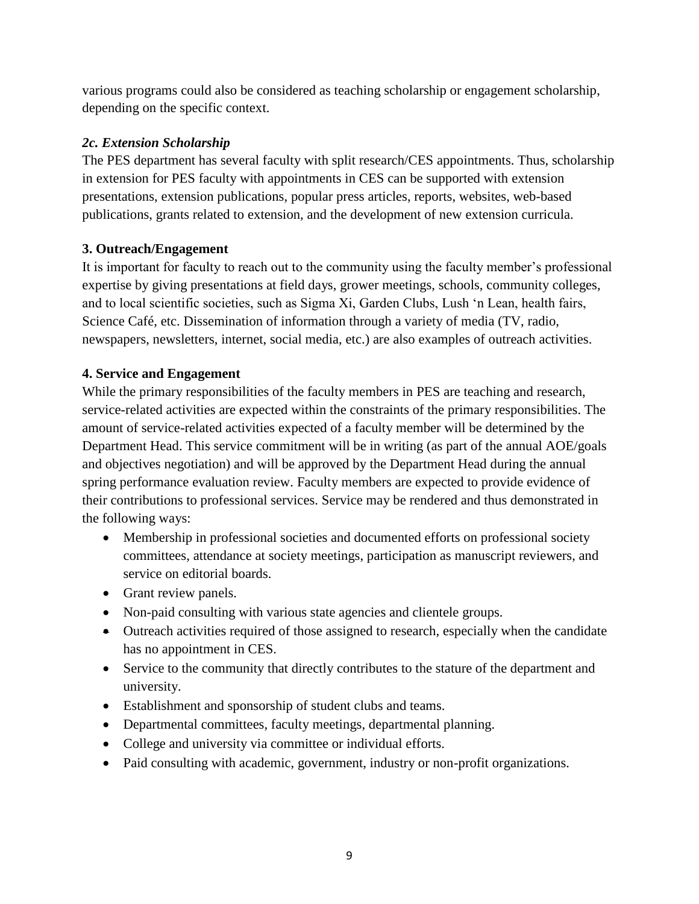various programs could also be considered as teaching scholarship or engagement scholarship, depending on the specific context.

# *2c. Extension Scholarship*

The PES department has several faculty with split research/CES appointments. Thus, scholarship in extension for PES faculty with appointments in CES can be supported with extension presentations, extension publications, popular press articles, reports, websites, web-based publications, grants related to extension, and the development of new extension curricula.

# **3. Outreach/Engagement**

It is important for faculty to reach out to the community using the faculty member's professional expertise by giving presentations at field days, grower meetings, schools, community colleges, and to local scientific societies, such as Sigma Xi, Garden Clubs, Lush 'n Lean, health fairs, Science Café, etc. Dissemination of information through a variety of media (TV, radio, newspapers, newsletters, internet, social media, etc.) are also examples of outreach activities.

# **4. Service and Engagement**

While the primary responsibilities of the faculty members in PES are teaching and research, service-related activities are expected within the constraints of the primary responsibilities. The amount of service-related activities expected of a faculty member will be determined by the Department Head. This service commitment will be in writing (as part of the annual AOE/goals and objectives negotiation) and will be approved by the Department Head during the annual spring performance evaluation review. Faculty members are expected to provide evidence of their contributions to professional services. Service may be rendered and thus demonstrated in the following ways:

- Membership in professional societies and documented efforts on professional society committees, attendance at society meetings, participation as manuscript reviewers, and service on editorial boards.
- Grant review panels.
- Non-paid consulting with various state agencies and clientele groups.
- Outreach activities required of those assigned to research, especially when the candidate has no appointment in CES.
- Service to the community that directly contributes to the stature of the department and university.
- Establishment and sponsorship of student clubs and teams.
- Departmental committees, faculty meetings, departmental planning.
- College and university via committee or individual efforts.
- Paid consulting with academic, government, industry or non-profit organizations.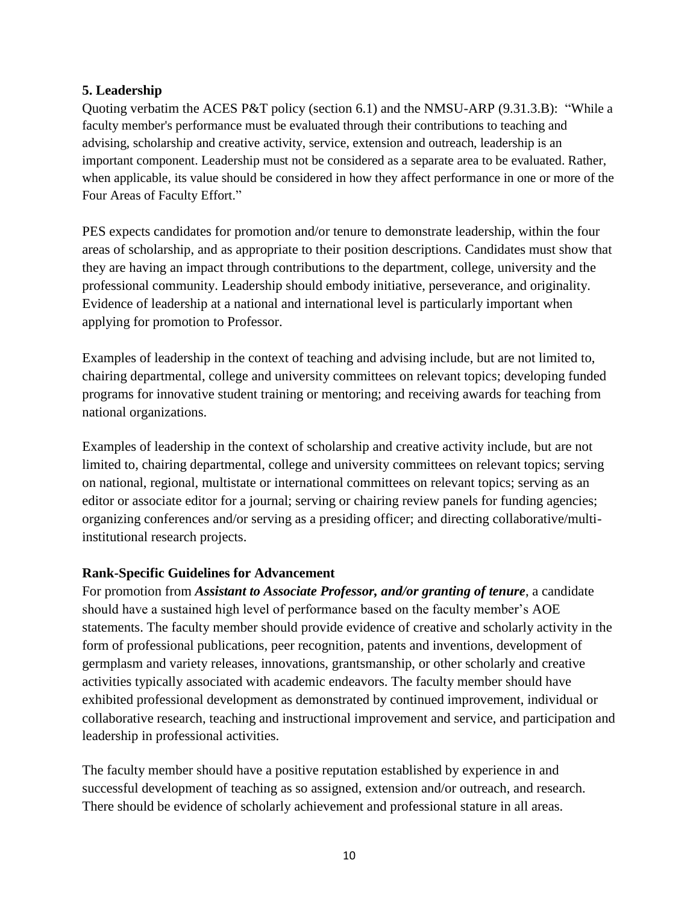## **5. Leadership**

Quoting verbatim the ACES P&T policy (section 6.1) and the NMSU-ARP (9.31.3.B): "While a faculty member's performance must be evaluated through their contributions to teaching and advising, scholarship and creative activity, service, extension and outreach, leadership is an important component. Leadership must not be considered as a separate area to be evaluated. Rather, when applicable, its value should be considered in how they affect performance in one or more of the Four Areas of Faculty Effort."

PES expects candidates for promotion and/or tenure to demonstrate leadership, within the four areas of scholarship, and as appropriate to their position descriptions. Candidates must show that they are having an impact through contributions to the department, college, university and the professional community. Leadership should embody initiative, perseverance, and originality. Evidence of leadership at a national and international level is particularly important when applying for promotion to Professor.

Examples of leadership in the context of teaching and advising include, but are not limited to, chairing departmental, college and university committees on relevant topics; developing funded programs for innovative student training or mentoring; and receiving awards for teaching from national organizations.

Examples of leadership in the context of scholarship and creative activity include, but are not limited to, chairing departmental, college and university committees on relevant topics; serving on national, regional, multistate or international committees on relevant topics; serving as an editor or associate editor for a journal; serving or chairing review panels for funding agencies; organizing conferences and/or serving as a presiding officer; and directing collaborative/multiinstitutional research projects.

## **Rank-Specific Guidelines for Advancement**

For promotion from *Assistant to Associate Professor, and/or granting of tenure*, a candidate should have a sustained high level of performance based on the faculty member's AOE statements. The faculty member should provide evidence of creative and scholarly activity in the form of professional publications, peer recognition, patents and inventions, development of germplasm and variety releases, innovations, grantsmanship, or other scholarly and creative activities typically associated with academic endeavors. The faculty member should have exhibited professional development as demonstrated by continued improvement, individual or collaborative research, teaching and instructional improvement and service, and participation and leadership in professional activities.

The faculty member should have a positive reputation established by experience in and successful development of teaching as so assigned, extension and/or outreach, and research. There should be evidence of scholarly achievement and professional stature in all areas.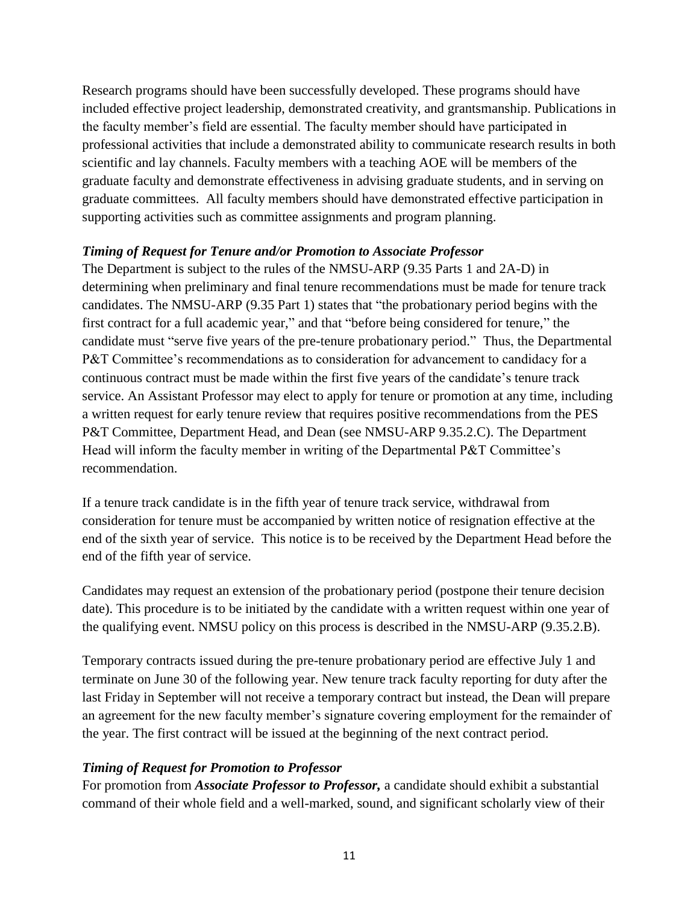Research programs should have been successfully developed. These programs should have included effective project leadership, demonstrated creativity, and grantsmanship. Publications in the faculty member's field are essential. The faculty member should have participated in professional activities that include a demonstrated ability to communicate research results in both scientific and lay channels. Faculty members with a teaching AOE will be members of the graduate faculty and demonstrate effectiveness in advising graduate students, and in serving on graduate committees. All faculty members should have demonstrated effective participation in supporting activities such as committee assignments and program planning.

#### *Timing of Request for Tenure and/or Promotion to Associate Professor*

The Department is subject to the rules of the NMSU-ARP (9.35 Parts 1 and 2A-D) in determining when preliminary and final tenure recommendations must be made for tenure track candidates. The NMSU-ARP (9.35 Part 1) states that "the probationary period begins with the first contract for a full academic year," and that "before being considered for tenure," the candidate must "serve five years of the pre-tenure probationary period." Thus, the Departmental P&T Committee's recommendations as to consideration for advancement to candidacy for a continuous contract must be made within the first five years of the candidate's tenure track service. An Assistant Professor may elect to apply for tenure or promotion at any time, including a written request for early tenure review that requires positive recommendations from the PES P&T Committee, Department Head, and Dean (see NMSU-ARP 9.35.2.C). The Department Head will inform the faculty member in writing of the Departmental P&T Committee's recommendation.

If a tenure track candidate is in the fifth year of tenure track service, withdrawal from consideration for tenure must be accompanied by written notice of resignation effective at the end of the sixth year of service. This notice is to be received by the Department Head before the end of the fifth year of service.

Candidates may request an extension of the probationary period (postpone their tenure decision date). This procedure is to be initiated by the candidate with a written request within one year of the qualifying event. NMSU policy on this process is described in the NMSU-ARP (9.35.2.B).

Temporary contracts issued during the pre-tenure probationary period are effective July 1 and terminate on June 30 of the following year. New tenure track faculty reporting for duty after the last Friday in September will not receive a temporary contract but instead, the Dean will prepare an agreement for the new faculty member's signature covering employment for the remainder of the year. The first contract will be issued at the beginning of the next contract period.

## *Timing of Request for Promotion to Professor*

For promotion from *Associate Professor to Professor,* a candidate should exhibit a substantial command of their whole field and a well-marked, sound, and significant scholarly view of their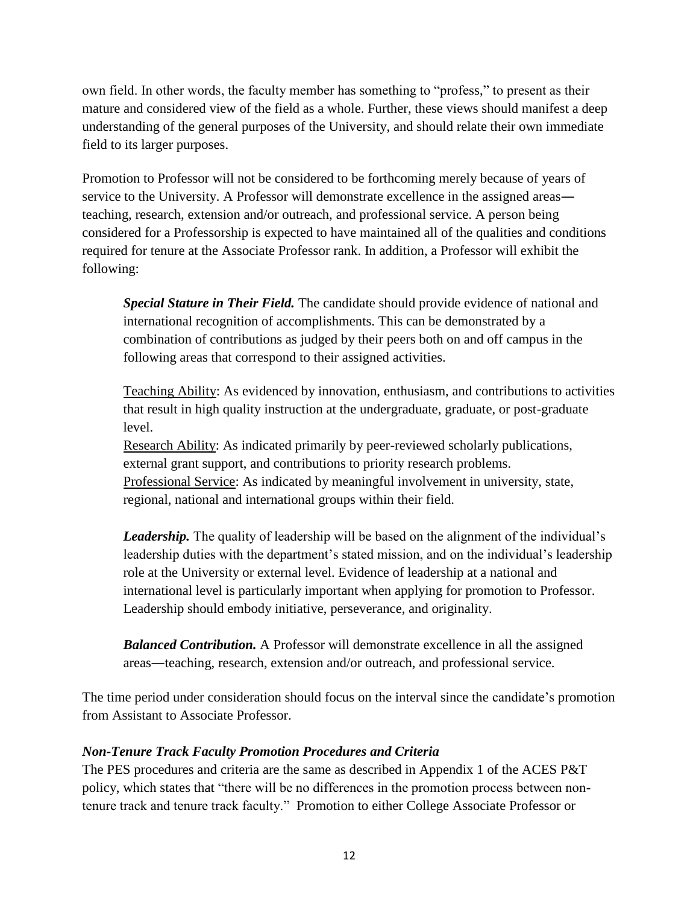own field. In other words, the faculty member has something to "profess," to present as their mature and considered view of the field as a whole. Further, these views should manifest a deep understanding of the general purposes of the University, and should relate their own immediate field to its larger purposes.

Promotion to Professor will not be considered to be forthcoming merely because of years of service to the University. A Professor will demonstrate excellence in the assigned areas― teaching, research, extension and/or outreach, and professional service. A person being considered for a Professorship is expected to have maintained all of the qualities and conditions required for tenure at the Associate Professor rank. In addition, a Professor will exhibit the following:

*Special Stature in Their Field.* The candidate should provide evidence of national and international recognition of accomplishments. This can be demonstrated by a combination of contributions as judged by their peers both on and off campus in the following areas that correspond to their assigned activities.

Teaching Ability: As evidenced by innovation, enthusiasm, and contributions to activities that result in high quality instruction at the undergraduate, graduate, or post-graduate level.

Research Ability: As indicated primarily by peer-reviewed scholarly publications, external grant support, and contributions to priority research problems. Professional Service: As indicated by meaningful involvement in university, state, regional, national and international groups within their field.

*Leadership.* The quality of leadership will be based on the alignment of the individual's leadership duties with the department's stated mission, and on the individual's leadership role at the University or external level. Evidence of leadership at a national and international level is particularly important when applying for promotion to Professor. Leadership should embody initiative, perseverance, and originality.

*Balanced Contribution.* A Professor will demonstrate excellence in all the assigned areas―teaching, research, extension and/or outreach, and professional service.

The time period under consideration should focus on the interval since the candidate's promotion from Assistant to Associate Professor.

## *Non-Tenure Track Faculty Promotion Procedures and Criteria*

The PES procedures and criteria are the same as described in Appendix 1 of the ACES P&T policy, which states that "there will be no differences in the promotion process between nontenure track and tenure track faculty." Promotion to either College Associate Professor or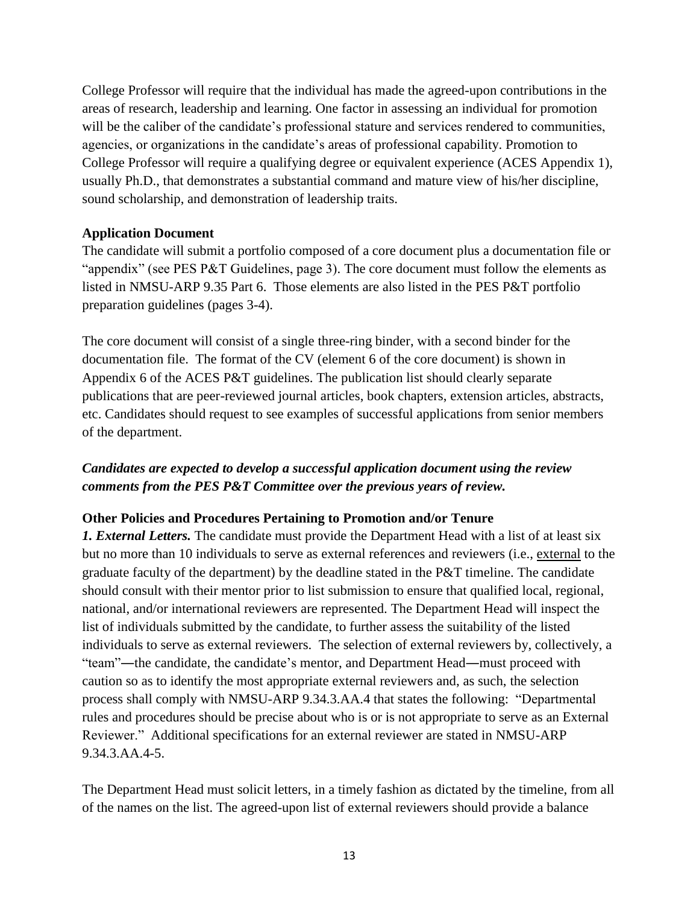College Professor will require that the individual has made the agreed-upon contributions in the areas of research, leadership and learning. One factor in assessing an individual for promotion will be the caliber of the candidate's professional stature and services rendered to communities, agencies, or organizations in the candidate's areas of professional capability. Promotion to College Professor will require a qualifying degree or equivalent experience (ACES Appendix 1), usually Ph.D., that demonstrates a substantial command and mature view of his/her discipline, sound scholarship, and demonstration of leadership traits.

#### **Application Document**

The candidate will submit a portfolio composed of a core document plus a documentation file or "appendix" (see PES P&T Guidelines, page 3). The core document must follow the elements as listed in NMSU-ARP 9.35 Part 6. Those elements are also listed in the PES P&T portfolio preparation guidelines (pages 3-4).

The core document will consist of a single three-ring binder, with a second binder for the documentation file. The format of the CV (element 6 of the core document) is shown in Appendix 6 of the ACES P&T guidelines. The publication list should clearly separate publications that are peer-reviewed journal articles, book chapters, extension articles, abstracts, etc. Candidates should request to see examples of successful applications from senior members of the department.

# *Candidates are expected to develop a successful application document using the review comments from the PES P&T Committee over the previous years of review.*

## **Other Policies and Procedures Pertaining to Promotion and/or Tenure**

*1. External Letters.* The candidate must provide the Department Head with a list of at least six but no more than 10 individuals to serve as external references and reviewers (i.e., external to the graduate faculty of the department) by the deadline stated in the P&T timeline. The candidate should consult with their mentor prior to list submission to ensure that qualified local, regional, national, and/or international reviewers are represented. The Department Head will inspect the list of individuals submitted by the candidate, to further assess the suitability of the listed individuals to serve as external reviewers. The selection of external reviewers by, collectively, a "team"―the candidate, the candidate's mentor, and Department Head―must proceed with caution so as to identify the most appropriate external reviewers and, as such, the selection process shall comply with NMSU-ARP 9.34.3.AA.4 that states the following: "Departmental rules and procedures should be precise about who is or is not appropriate to serve as an External Reviewer." Additional specifications for an external reviewer are stated in NMSU-ARP 9.34.3.AA.4-5.

The Department Head must solicit letters, in a timely fashion as dictated by the timeline, from all of the names on the list. The agreed-upon list of external reviewers should provide a balance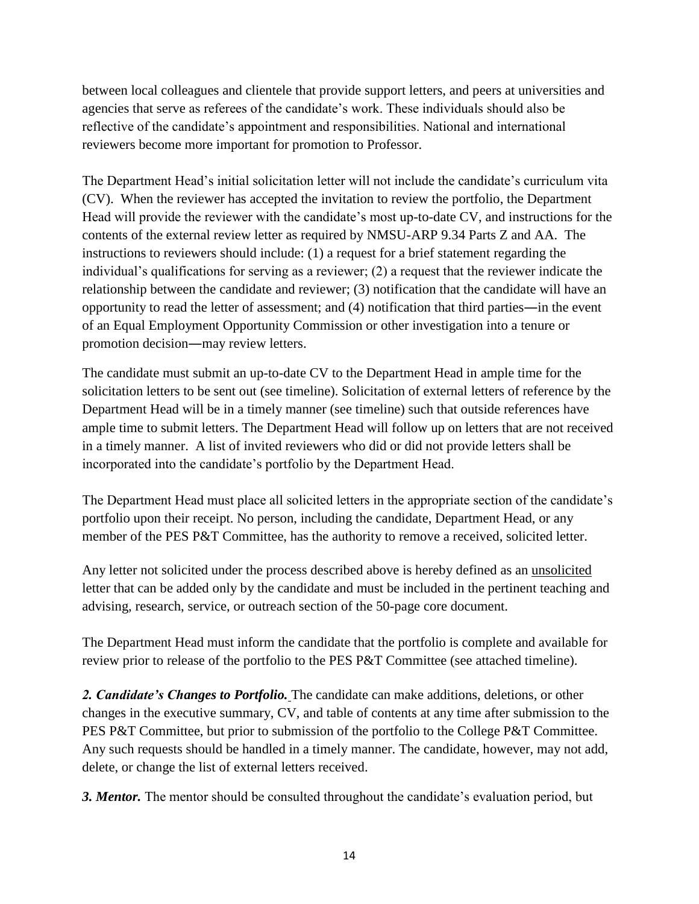between local colleagues and clientele that provide support letters, and peers at universities and agencies that serve as referees of the candidate's work. These individuals should also be reflective of the candidate's appointment and responsibilities. National and international reviewers become more important for promotion to Professor.

The Department Head's initial solicitation letter will not include the candidate's curriculum vita (CV). When the reviewer has accepted the invitation to review the portfolio, the Department Head will provide the reviewer with the candidate's most up-to-date CV, and instructions for the contents of the external review letter as required by NMSU-ARP 9.34 Parts Z and AA. The instructions to reviewers should include: (1) a request for a brief statement regarding the individual's qualifications for serving as a reviewer; (2) a request that the reviewer indicate the relationship between the candidate and reviewer; (3) notification that the candidate will have an opportunity to read the letter of assessment; and (4) notification that third parties―in the event of an Equal Employment Opportunity Commission or other investigation into a tenure or promotion decision―may review letters.

The candidate must submit an up-to-date CV to the Department Head in ample time for the solicitation letters to be sent out (see timeline). Solicitation of external letters of reference by the Department Head will be in a timely manner (see timeline) such that outside references have ample time to submit letters. The Department Head will follow up on letters that are not received in a timely manner. A list of invited reviewers who did or did not provide letters shall be incorporated into the candidate's portfolio by the Department Head.

The Department Head must place all solicited letters in the appropriate section of the candidate's portfolio upon their receipt. No person, including the candidate, Department Head, or any member of the PES P&T Committee, has the authority to remove a received, solicited letter.

Any letter not solicited under the process described above is hereby defined as an unsolicited letter that can be added only by the candidate and must be included in the pertinent teaching and advising, research, service, or outreach section of the 50-page core document.

The Department Head must inform the candidate that the portfolio is complete and available for review prior to release of the portfolio to the PES P&T Committee (see attached timeline).

*2. Candidate's Changes to Portfolio.* The candidate can make additions, deletions, or other changes in the executive summary, CV, and table of contents at any time after submission to the PES P&T Committee, but prior to submission of the portfolio to the College P&T Committee. Any such requests should be handled in a timely manner. The candidate, however, may not add, delete, or change the list of external letters received.

*3. Mentor.* The mentor should be consulted throughout the candidate's evaluation period, but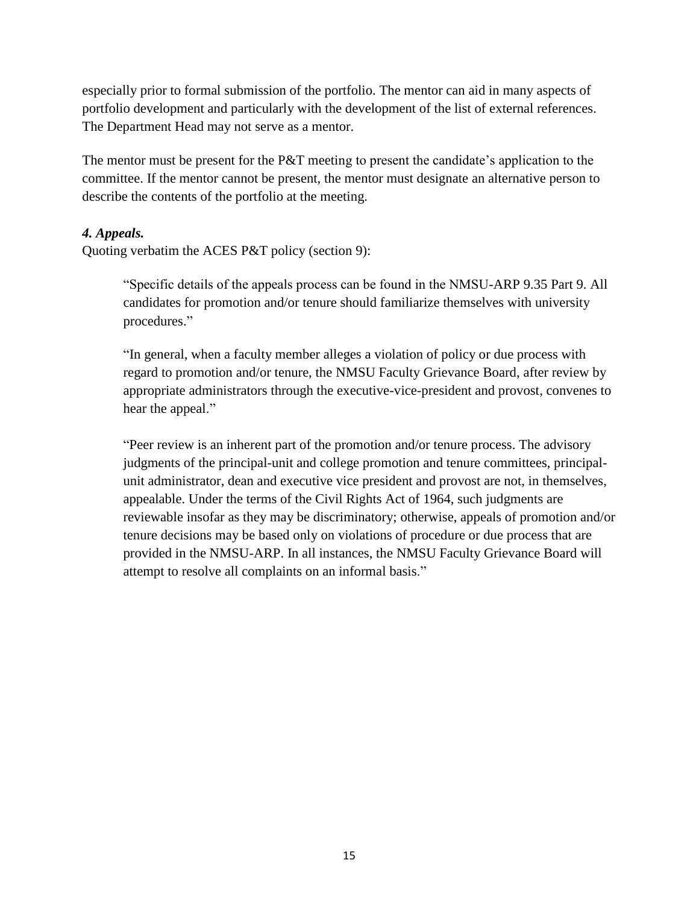especially prior to formal submission of the portfolio. The mentor can aid in many aspects of portfolio development and particularly with the development of the list of external references. The Department Head may not serve as a mentor.

The mentor must be present for the P&T meeting to present the candidate's application to the committee. If the mentor cannot be present, the mentor must designate an alternative person to describe the contents of the portfolio at the meeting.

#### *4. Appeals.*

Quoting verbatim the ACES P&T policy (section 9):

"Specific details of the appeals process can be found in the NMSU-ARP 9.35 Part 9. All candidates for promotion and/or tenure should familiarize themselves with university procedures."

"In general, when a faculty member alleges a violation of policy or due process with regard to promotion and/or tenure, the NMSU Faculty Grievance Board, after review by appropriate administrators through the executive-vice-president and provost, convenes to hear the appeal."

"Peer review is an inherent part of the promotion and/or tenure process. The advisory judgments of the principal-unit and college promotion and tenure committees, principalunit administrator, dean and executive vice president and provost are not, in themselves, appealable. Under the terms of the Civil Rights Act of 1964, such judgments are reviewable insofar as they may be discriminatory; otherwise, appeals of promotion and/or tenure decisions may be based only on violations of procedure or due process that are provided in the NMSU-ARP. In all instances, the NMSU Faculty Grievance Board will attempt to resolve all complaints on an informal basis."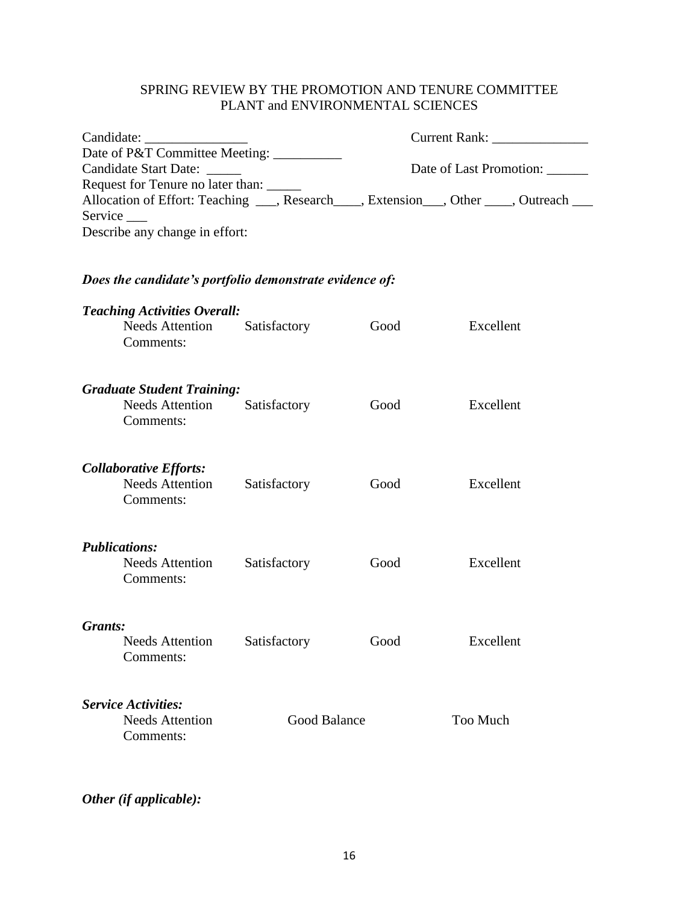## SPRING REVIEW BY THE PROMOTION AND TENURE COMMITTEE PLANT and ENVIRONMENTAL SCIENCES

| Date of P&T Committee Meeting: _________<br><b>Candidate Start Date:</b><br>Request for Tenure no later than: |                                                                            |              | Date of Last Promotion: |           |  |  |         |
|---------------------------------------------------------------------------------------------------------------|----------------------------------------------------------------------------|--------------|-------------------------|-----------|--|--|---------|
|                                                                                                               |                                                                            |              |                         |           |  |  | Service |
|                                                                                                               | Describe any change in effort:                                             |              |                         |           |  |  |         |
| Does the candidate's portfolio demonstrate evidence of:                                                       |                                                                            |              |                         |           |  |  |         |
|                                                                                                               | <b>Teaching Activities Overall:</b><br><b>Needs Attention</b><br>Comments: | Satisfactory | Good                    | Excellent |  |  |         |
|                                                                                                               | <b>Graduate Student Training:</b><br><b>Needs Attention</b><br>Comments:   | Satisfactory | Good                    | Excellent |  |  |         |
|                                                                                                               | <b>Collaborative Efforts:</b><br><b>Needs Attention</b><br>Comments:       | Satisfactory | Good                    | Excellent |  |  |         |
|                                                                                                               | <b>Publications:</b><br><b>Needs Attention</b><br>Comments:                | Satisfactory | Good                    | Excellent |  |  |         |
| Grants:                                                                                                       | Needs Attention Satisfactory<br>Comments:                                  |              | Good                    | Excellent |  |  |         |
|                                                                                                               | <b>Service Activities:</b><br><b>Needs Attention</b><br>Comments:          | Good Balance |                         | Too Much  |  |  |         |

*Other (if applicable):*